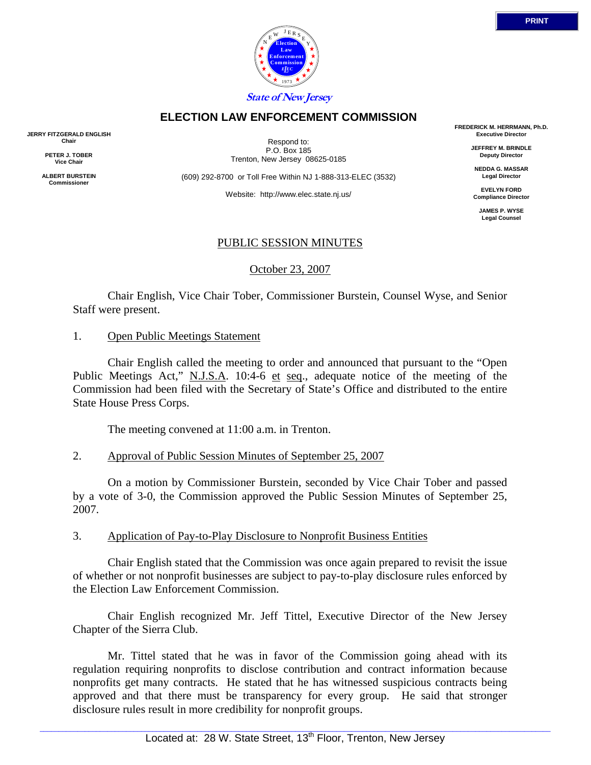

# **ELECTION LAW ENFORCEMENT COMMISSION**

**JERRY FITZGERALD ENGLISH Chair** 

> **PETER J. TOBER Vice Chair**

**ALBERT BURSTEIN Commissioner** 

Respond to: P.O. Box 185 Trenton, New Jersey 08625-0185

(609) 292-8700 or Toll Free Within NJ 1-888-313-ELEC (3532)

Website: http://www.elec.state.nj.us/

**FREDERICK M. HERRMANN, Ph.D. Executive Director** 

> **JEFFREY M. BRINDLE Deputy Director**

**NEDDA G. MASSAR Legal Director** 

**EVELYN FORD Compliance Director** 

> **JAMES P. WYSE Legal Counsel**

# PUBLIC SESSION MINUTES

October 23, 2007

 Chair English, Vice Chair Tober, Commissioner Burstein, Counsel Wyse, and Senior Staff were present.

### 1. Open Public Meetings Statement

 Chair English called the meeting to order and announced that pursuant to the "Open Public Meetings Act," N.J.S.A. 10:4-6 et seq., adequate notice of the meeting of the Commission had been filed with the Secretary of State's Office and distributed to the entire State House Press Corps.

The meeting convened at 11:00 a.m. in Trenton.

## 2. Approval of Public Session Minutes of September 25, 2007

 On a motion by Commissioner Burstein, seconded by Vice Chair Tober and passed by a vote of 3-0, the Commission approved the Public Session Minutes of September 25, 2007.

## 3. Application of Pay-to-Play Disclosure to Nonprofit Business Entities

 Chair English stated that the Commission was once again prepared to revisit the issue of whether or not nonprofit businesses are subject to pay-to-play disclosure rules enforced by the Election Law Enforcement Commission.

 Chair English recognized Mr. Jeff Tittel, Executive Director of the New Jersey Chapter of the Sierra Club.

 Mr. Tittel stated that he was in favor of the Commission going ahead with its regulation requiring nonprofits to disclose contribution and contract information because nonprofits get many contracts. He stated that he has witnessed suspicious contracts being approved and that there must be transparency for every group. He said that stronger disclosure rules result in more credibility for nonprofit groups.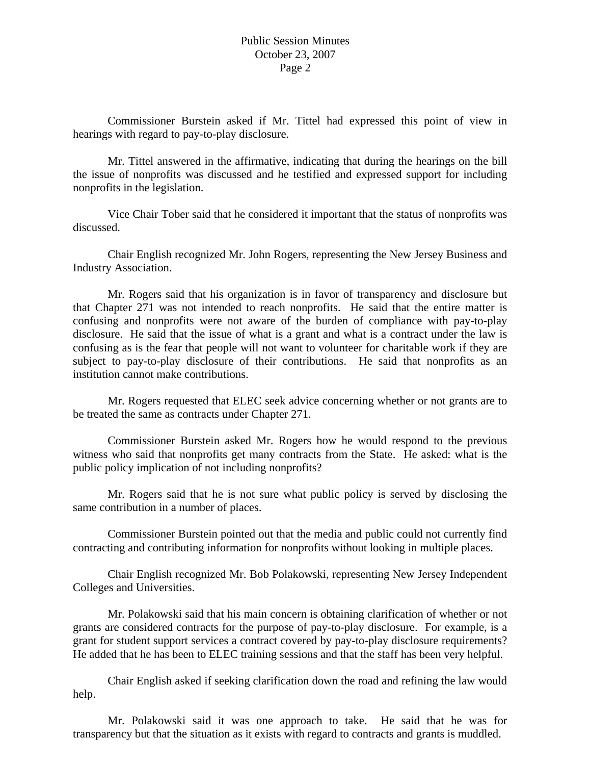Commissioner Burstein asked if Mr. Tittel had expressed this point of view in hearings with regard to pay-to-play disclosure.

 Mr. Tittel answered in the affirmative, indicating that during the hearings on the bill the issue of nonprofits was discussed and he testified and expressed support for including nonprofits in the legislation.

 Vice Chair Tober said that he considered it important that the status of nonprofits was discussed.

 Chair English recognized Mr. John Rogers, representing the New Jersey Business and Industry Association.

 Mr. Rogers said that his organization is in favor of transparency and disclosure but that Chapter 271 was not intended to reach nonprofits. He said that the entire matter is confusing and nonprofits were not aware of the burden of compliance with pay-to-play disclosure. He said that the issue of what is a grant and what is a contract under the law is confusing as is the fear that people will not want to volunteer for charitable work if they are subject to pay-to-play disclosure of their contributions. He said that nonprofits as an institution cannot make contributions.

 Mr. Rogers requested that ELEC seek advice concerning whether or not grants are to be treated the same as contracts under Chapter 271.

 Commissioner Burstein asked Mr. Rogers how he would respond to the previous witness who said that nonprofits get many contracts from the State. He asked: what is the public policy implication of not including nonprofits?

 Mr. Rogers said that he is not sure what public policy is served by disclosing the same contribution in a number of places.

 Commissioner Burstein pointed out that the media and public could not currently find contracting and contributing information for nonprofits without looking in multiple places.

 Chair English recognized Mr. Bob Polakowski, representing New Jersey Independent Colleges and Universities.

 Mr. Polakowski said that his main concern is obtaining clarification of whether or not grants are considered contracts for the purpose of pay-to-play disclosure. For example, is a grant for student support services a contract covered by pay-to-play disclosure requirements? He added that he has been to ELEC training sessions and that the staff has been very helpful.

 Chair English asked if seeking clarification down the road and refining the law would help.

 Mr. Polakowski said it was one approach to take. He said that he was for transparency but that the situation as it exists with regard to contracts and grants is muddled.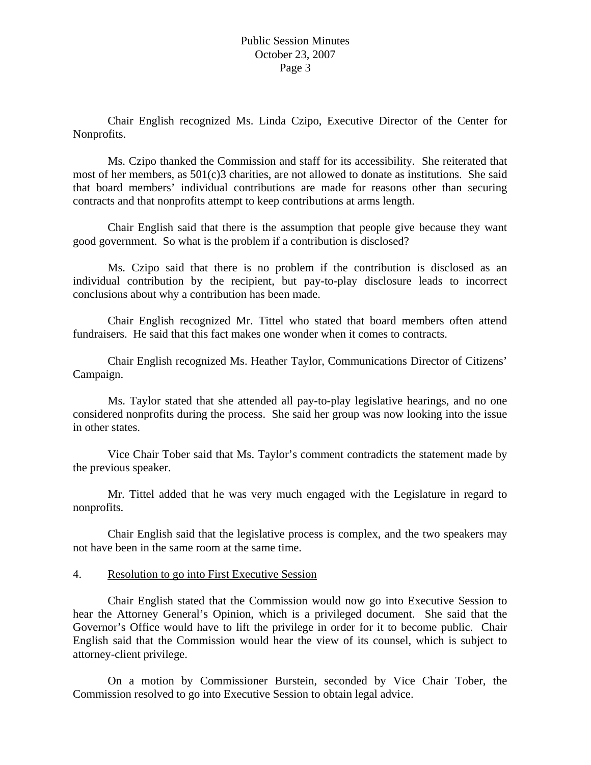Chair English recognized Ms. Linda Czipo, Executive Director of the Center for Nonprofits.

 Ms. Czipo thanked the Commission and staff for its accessibility. She reiterated that most of her members, as 501(c)3 charities, are not allowed to donate as institutions. She said that board members' individual contributions are made for reasons other than securing contracts and that nonprofits attempt to keep contributions at arms length.

 Chair English said that there is the assumption that people give because they want good government. So what is the problem if a contribution is disclosed?

 Ms. Czipo said that there is no problem if the contribution is disclosed as an individual contribution by the recipient, but pay-to-play disclosure leads to incorrect conclusions about why a contribution has been made.

 Chair English recognized Mr. Tittel who stated that board members often attend fundraisers. He said that this fact makes one wonder when it comes to contracts.

 Chair English recognized Ms. Heather Taylor, Communications Director of Citizens' Campaign.

 Ms. Taylor stated that she attended all pay-to-play legislative hearings, and no one considered nonprofits during the process. She said her group was now looking into the issue in other states.

 Vice Chair Tober said that Ms. Taylor's comment contradicts the statement made by the previous speaker.

 Mr. Tittel added that he was very much engaged with the Legislature in regard to nonprofits.

 Chair English said that the legislative process is complex, and the two speakers may not have been in the same room at the same time.

### 4. Resolution to go into First Executive Session

 Chair English stated that the Commission would now go into Executive Session to hear the Attorney General's Opinion, which is a privileged document. She said that the Governor's Office would have to lift the privilege in order for it to become public. Chair English said that the Commission would hear the view of its counsel, which is subject to attorney-client privilege.

 On a motion by Commissioner Burstein, seconded by Vice Chair Tober, the Commission resolved to go into Executive Session to obtain legal advice.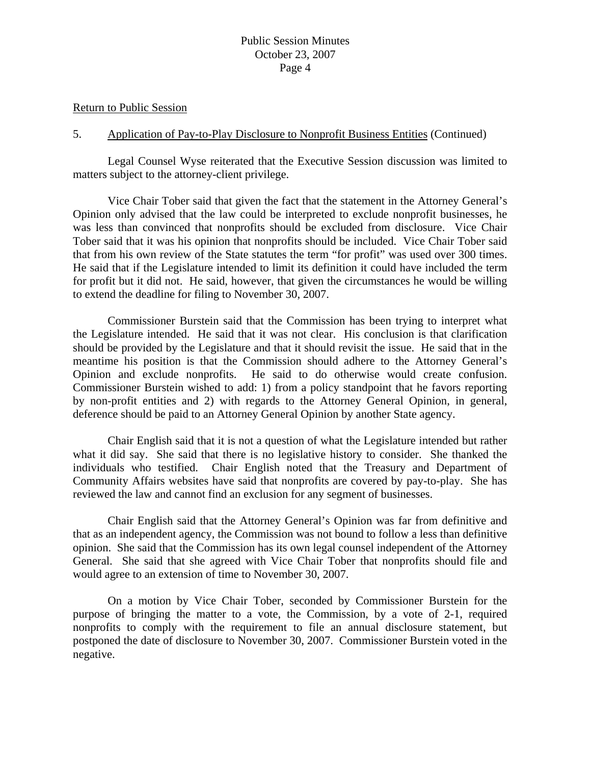#### Return to Public Session

### 5. Application of Pay-to-Play Disclosure to Nonprofit Business Entities (Continued)

 Legal Counsel Wyse reiterated that the Executive Session discussion was limited to matters subject to the attorney-client privilege.

 Vice Chair Tober said that given the fact that the statement in the Attorney General's Opinion only advised that the law could be interpreted to exclude nonprofit businesses, he was less than convinced that nonprofits should be excluded from disclosure. Vice Chair Tober said that it was his opinion that nonprofits should be included. Vice Chair Tober said that from his own review of the State statutes the term "for profit" was used over 300 times. He said that if the Legislature intended to limit its definition it could have included the term for profit but it did not. He said, however, that given the circumstances he would be willing to extend the deadline for filing to November 30, 2007.

 Commissioner Burstein said that the Commission has been trying to interpret what the Legislature intended. He said that it was not clear. His conclusion is that clarification should be provided by the Legislature and that it should revisit the issue. He said that in the meantime his position is that the Commission should adhere to the Attorney General's Opinion and exclude nonprofits. He said to do otherwise would create confusion. Commissioner Burstein wished to add: 1) from a policy standpoint that he favors reporting by non-profit entities and 2) with regards to the Attorney General Opinion, in general, deference should be paid to an Attorney General Opinion by another State agency.

 Chair English said that it is not a question of what the Legislature intended but rather what it did say. She said that there is no legislative history to consider. She thanked the individuals who testified. Chair English noted that the Treasury and Department of Community Affairs websites have said that nonprofits are covered by pay-to-play. She has reviewed the law and cannot find an exclusion for any segment of businesses.

 Chair English said that the Attorney General's Opinion was far from definitive and that as an independent agency, the Commission was not bound to follow a less than definitive opinion. She said that the Commission has its own legal counsel independent of the Attorney General. She said that she agreed with Vice Chair Tober that nonprofits should file and would agree to an extension of time to November 30, 2007.

 On a motion by Vice Chair Tober, seconded by Commissioner Burstein for the purpose of bringing the matter to a vote, the Commission, by a vote of 2-1, required nonprofits to comply with the requirement to file an annual disclosure statement, but postponed the date of disclosure to November 30, 2007. Commissioner Burstein voted in the negative.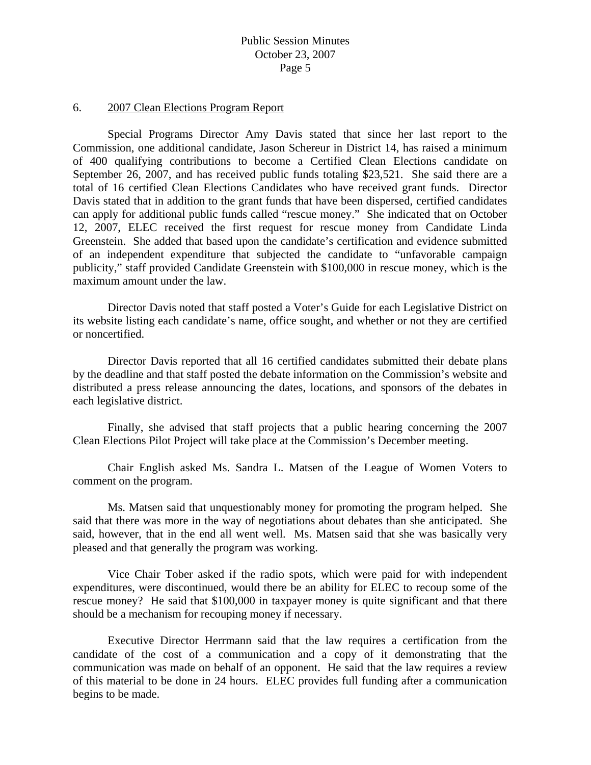### 6. 2007 Clean Elections Program Report

 Special Programs Director Amy Davis stated that since her last report to the Commission, one additional candidate, Jason Schereur in District 14, has raised a minimum of 400 qualifying contributions to become a Certified Clean Elections candidate on September 26, 2007, and has received public funds totaling \$23,521. She said there are a total of 16 certified Clean Elections Candidates who have received grant funds. Director Davis stated that in addition to the grant funds that have been dispersed, certified candidates can apply for additional public funds called "rescue money." She indicated that on October 12, 2007, ELEC received the first request for rescue money from Candidate Linda Greenstein. She added that based upon the candidate's certification and evidence submitted of an independent expenditure that subjected the candidate to "unfavorable campaign publicity," staff provided Candidate Greenstein with \$100,000 in rescue money, which is the maximum amount under the law.

 Director Davis noted that staff posted a Voter's Guide for each Legislative District on its website listing each candidate's name, office sought, and whether or not they are certified or noncertified.

 Director Davis reported that all 16 certified candidates submitted their debate plans by the deadline and that staff posted the debate information on the Commission's website and distributed a press release announcing the dates, locations, and sponsors of the debates in each legislative district.

 Finally, she advised that staff projects that a public hearing concerning the 2007 Clean Elections Pilot Project will take place at the Commission's December meeting.

 Chair English asked Ms. Sandra L. Matsen of the League of Women Voters to comment on the program.

 Ms. Matsen said that unquestionably money for promoting the program helped. She said that there was more in the way of negotiations about debates than she anticipated. She said, however, that in the end all went well. Ms. Matsen said that she was basically very pleased and that generally the program was working.

 Vice Chair Tober asked if the radio spots, which were paid for with independent expenditures, were discontinued, would there be an ability for ELEC to recoup some of the rescue money? He said that \$100,000 in taxpayer money is quite significant and that there should be a mechanism for recouping money if necessary.

 Executive Director Herrmann said that the law requires a certification from the candidate of the cost of a communication and a copy of it demonstrating that the communication was made on behalf of an opponent. He said that the law requires a review of this material to be done in 24 hours. ELEC provides full funding after a communication begins to be made.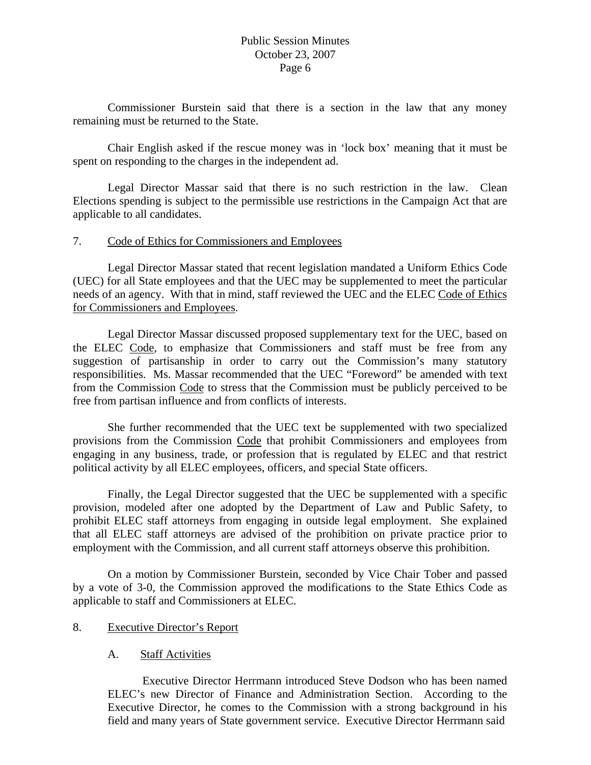Commissioner Burstein said that there is a section in the law that any money remaining must be returned to the State.

 Chair English asked if the rescue money was in 'lock box' meaning that it must be spent on responding to the charges in the independent ad.

 Legal Director Massar said that there is no such restriction in the law. Clean Elections spending is subject to the permissible use restrictions in the Campaign Act that are applicable to all candidates.

## 7. Code of Ethics for Commissioners and Employees

 Legal Director Massar stated that recent legislation mandated a Uniform Ethics Code (UEC) for all State employees and that the UEC may be supplemented to meet the particular needs of an agency. With that in mind, staff reviewed the UEC and the ELEC Code of Ethics for Commissioners and Employees.

 Legal Director Massar discussed proposed supplementary text for the UEC, based on the ELEC Code, to emphasize that Commissioners and staff must be free from any suggestion of partisanship in order to carry out the Commission's many statutory responsibilities. Ms. Massar recommended that the UEC "Foreword" be amended with text from the Commission Code to stress that the Commission must be publicly perceived to be free from partisan influence and from conflicts of interests.

 She further recommended that the UEC text be supplemented with two specialized provisions from the Commission Code that prohibit Commissioners and employees from engaging in any business, trade, or profession that is regulated by ELEC and that restrict political activity by all ELEC employees, officers, and special State officers.

 Finally, the Legal Director suggested that the UEC be supplemented with a specific provision, modeled after one adopted by the Department of Law and Public Safety, to prohibit ELEC staff attorneys from engaging in outside legal employment. She explained that all ELEC staff attorneys are advised of the prohibition on private practice prior to employment with the Commission, and all current staff attorneys observe this prohibition.

 On a motion by Commissioner Burstein, seconded by Vice Chair Tober and passed by a vote of 3-0, the Commission approved the modifications to the State Ethics Code as applicable to staff and Commissioners at ELEC.

# 8. Executive Director's Report

## A. Staff Activities

 Executive Director Herrmann introduced Steve Dodson who has been named ELEC's new Director of Finance and Administration Section. According to the Executive Director, he comes to the Commission with a strong background in his field and many years of State government service. Executive Director Herrmann said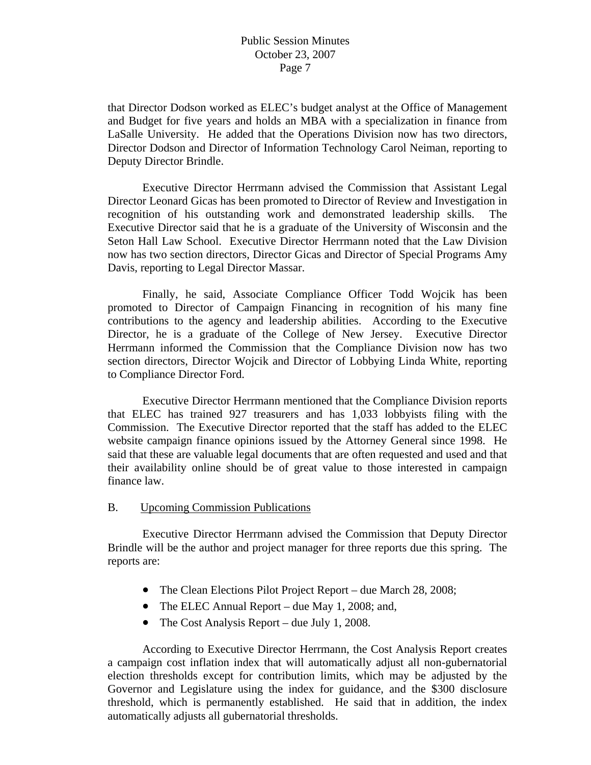that Director Dodson worked as ELEC's budget analyst at the Office of Management and Budget for five years and holds an MBA with a specialization in finance from LaSalle University. He added that the Operations Division now has two directors, Director Dodson and Director of Information Technology Carol Neiman, reporting to Deputy Director Brindle.

 Executive Director Herrmann advised the Commission that Assistant Legal Director Leonard Gicas has been promoted to Director of Review and Investigation in recognition of his outstanding work and demonstrated leadership skills. The Executive Director said that he is a graduate of the University of Wisconsin and the Seton Hall Law School. Executive Director Herrmann noted that the Law Division now has two section directors, Director Gicas and Director of Special Programs Amy Davis, reporting to Legal Director Massar.

 Finally, he said, Associate Compliance Officer Todd Wojcik has been promoted to Director of Campaign Financing in recognition of his many fine contributions to the agency and leadership abilities. According to the Executive Director, he is a graduate of the College of New Jersey. Executive Director Herrmann informed the Commission that the Compliance Division now has two section directors, Director Wojcik and Director of Lobbying Linda White, reporting to Compliance Director Ford.

 Executive Director Herrmann mentioned that the Compliance Division reports that ELEC has trained 927 treasurers and has 1,033 lobbyists filing with the Commission. The Executive Director reported that the staff has added to the ELEC website campaign finance opinions issued by the Attorney General since 1998. He said that these are valuable legal documents that are often requested and used and that their availability online should be of great value to those interested in campaign finance law.

#### B. Upcoming Commission Publications

 Executive Director Herrmann advised the Commission that Deputy Director Brindle will be the author and project manager for three reports due this spring. The reports are:

- The Clean Elections Pilot Project Report due March 28, 2008;
- The ELEC Annual Report due May 1, 2008; and,
- The Cost Analysis Report due July 1, 2008.

 According to Executive Director Herrmann, the Cost Analysis Report creates a campaign cost inflation index that will automatically adjust all non-gubernatorial election thresholds except for contribution limits, which may be adjusted by the Governor and Legislature using the index for guidance, and the \$300 disclosure threshold, which is permanently established. He said that in addition, the index automatically adjusts all gubernatorial thresholds.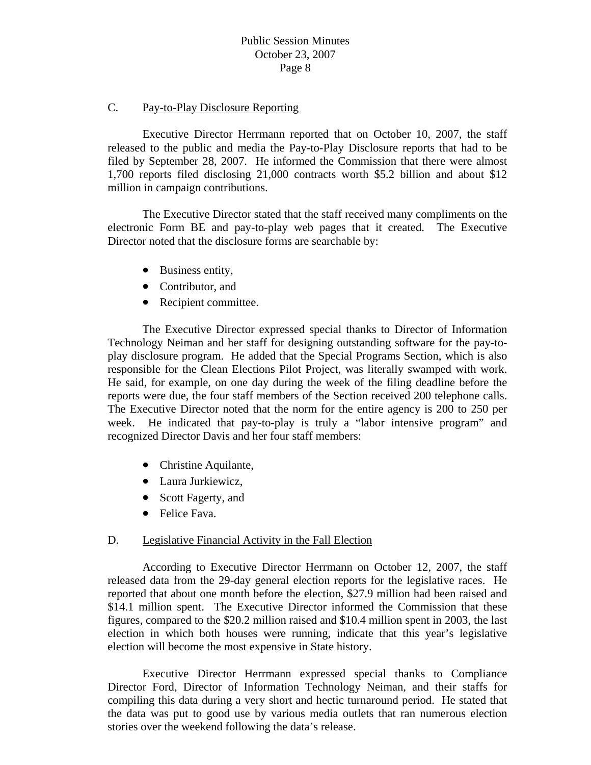### C. Pay-to-Play Disclosure Reporting

 Executive Director Herrmann reported that on October 10, 2007, the staff released to the public and media the Pay-to-Play Disclosure reports that had to be filed by September 28, 2007. He informed the Commission that there were almost 1,700 reports filed disclosing 21,000 contracts worth \$5.2 billion and about \$12 million in campaign contributions.

 The Executive Director stated that the staff received many compliments on the electronic Form BE and pay-to-play web pages that it created. The Executive Director noted that the disclosure forms are searchable by:

- Business entity,
- Contributor, and
- Recipient committee.

 The Executive Director expressed special thanks to Director of Information Technology Neiman and her staff for designing outstanding software for the pay-toplay disclosure program. He added that the Special Programs Section, which is also responsible for the Clean Elections Pilot Project, was literally swamped with work. He said, for example, on one day during the week of the filing deadline before the reports were due, the four staff members of the Section received 200 telephone calls. The Executive Director noted that the norm for the entire agency is 200 to 250 per week. He indicated that pay-to-play is truly a "labor intensive program" and recognized Director Davis and her four staff members:

- Christine Aquilante,
- Laura Jurkiewicz,
- Scott Fagerty, and
- Felice Fava.

#### D. Legislative Financial Activity in the Fall Election

 According to Executive Director Herrmann on October 12, 2007, the staff released data from the 29-day general election reports for the legislative races. He reported that about one month before the election, \$27.9 million had been raised and \$14.1 million spent. The Executive Director informed the Commission that these figures, compared to the \$20.2 million raised and \$10.4 million spent in 2003, the last election in which both houses were running, indicate that this year's legislative election will become the most expensive in State history.

 Executive Director Herrmann expressed special thanks to Compliance Director Ford, Director of Information Technology Neiman, and their staffs for compiling this data during a very short and hectic turnaround period. He stated that the data was put to good use by various media outlets that ran numerous election stories over the weekend following the data's release.